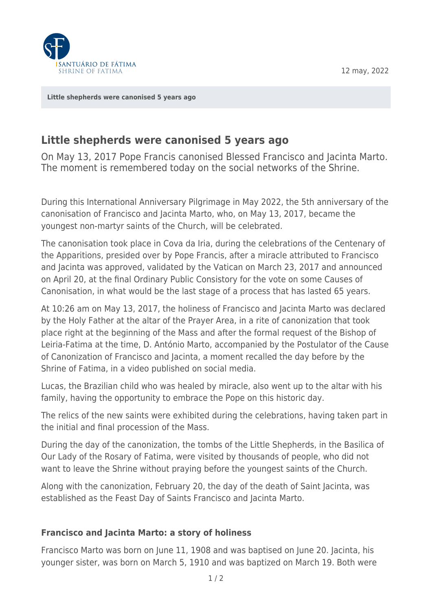12 may, 2022



**[Little shepherds were canonised 5 years ago](https://www.fatima.pt/en/news/little-shepherds-were-canonised-5-years-ago)**

## **Little shepherds were canonised 5 years ago**

On May 13, 2017 Pope Francis canonised Blessed Francisco and Jacinta Marto. The moment is remembered today on the social networks of the Shrine.

During this International Anniversary Pilgrimage in May 2022, the 5th anniversary of the canonisation of Francisco and Jacinta Marto, who, on May 13, 2017, became the youngest non-martyr saints of the Church, will be celebrated.

The canonisation took place in Cova da Iria, during the celebrations of the Centenary of the Apparitions, presided over by Pope Francis, after a miracle attributed to Francisco and Jacinta was approved, validated by the Vatican on March 23, 2017 and announced on April 20, at the final Ordinary Public Consistory for the vote on some Causes of Canonisation, in what would be the last stage of a process that has lasted 65 years.

At 10:26 am on May 13, 2017, the holiness of Francisco and Jacinta Marto was declared by the Holy Father at the altar of the Prayer Area, in a rite of canonization that took place right at the beginning of the Mass and after the formal request of the Bishop of Leiria-Fatima at the time, D. António Marto, accompanied by the Postulator of the Cause of Canonization of Francisco and Jacinta, a moment recalled the day before by the Shrine of Fatima, in a video published on social media.

Lucas, the Brazilian child who was healed by miracle, also went up to the altar with his family, having the opportunity to embrace the Pope on this historic day.

The relics of the new saints were exhibited during the celebrations, having taken part in the initial and final procession of the Mass.

During the day of the canonization, the tombs of the Little Shepherds, in the Basilica of Our Lady of the Rosary of Fatima, were visited by thousands of people, who did not want to leave the Shrine without praying before the youngest saints of the Church.

Along with the canonization, February 20, the day of the death of Saint Jacinta, was established as the Feast Day of Saints Francisco and Jacinta Marto.

## **Francisco and Jacinta Marto: a story of holiness**

Francisco Marto was born on June 11, 1908 and was baptised on June 20. Jacinta, his younger sister, was born on March 5, 1910 and was baptized on March 19. Both were